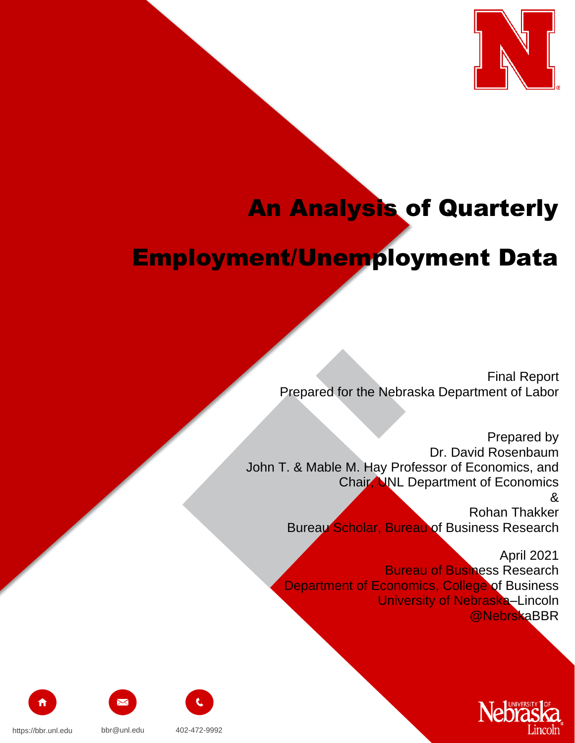

# An Analysis of Quarterly

## Employment/Unemployment Data

Final Report Prepared for the Nebraska Department of Labor

Prepared by Dr. David Rosenbaum John T. & Mable M. Hay Professor of Economics, and Chair, UNL Department of Economics & Rohan Thakker Bureau Scholar, Bureau of Business Research

> April 2021 Bureau of Business Research Department of Economics, College of Business University of Nebraska–Lincoln @NebrskaBBR









https://bbr.unl.edu bbr@unl.edu 402-472-9992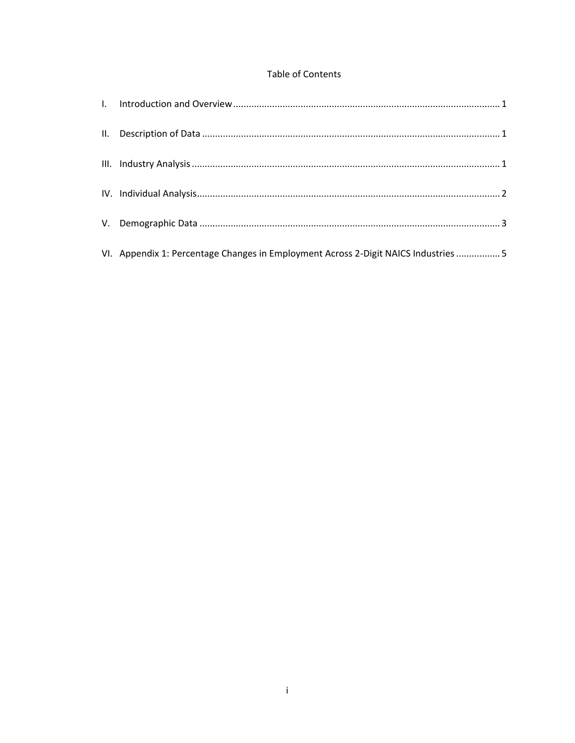### Table of Contents

| VI. Appendix 1: Percentage Changes in Employment Across 2-Digit NAICS Industries  5 |
|-------------------------------------------------------------------------------------|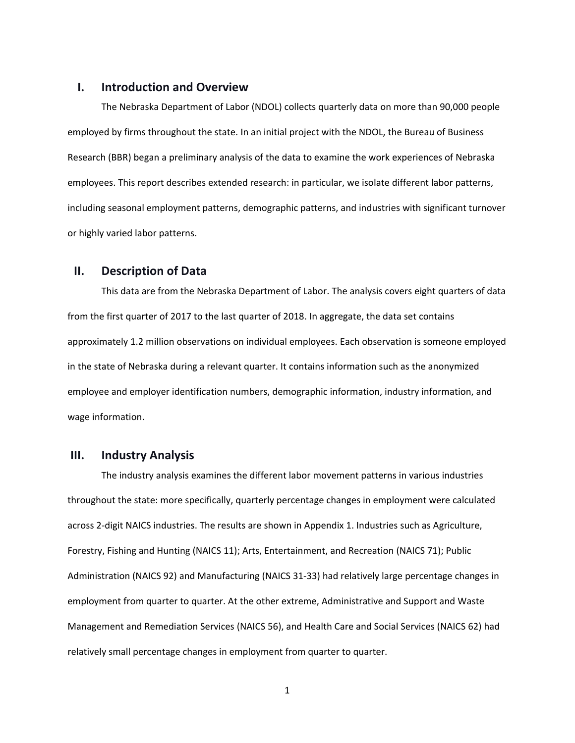#### <span id="page-2-0"></span>**I. Introduction and Overview**

The Nebraska Department of Labor (NDOL) collects quarterly data on more than 90,000 people employed by firms throughout the state. In an initial project with the NDOL, the Bureau of Business Research (BBR) began a preliminary analysis of the data to examine the work experiences of Nebraska employees. This report describes extended research: in particular, we isolate different labor patterns, including seasonal employment patterns, demographic patterns, and industries with significant turnover or highly varied labor patterns.

#### <span id="page-2-1"></span>**II. Description of Data**

This data are from the Nebraska Department of Labor. The analysis covers eight quarters of data from the first quarter of 2017 to the last quarter of 2018. In aggregate, the data set contains approximately 1.2 million observations on individual employees. Each observation is someone employed in the state of Nebraska during a relevant quarter. It contains information such as the anonymized employee and employer identification numbers, demographic information, industry information, and wage information.

#### <span id="page-2-2"></span>**III. Industry Analysis**

The industry analysis examines the different labor movement patterns in various industries throughout the state: more specifically, quarterly percentage changes in employment were calculated across 2-digit NAICS industries. The results are shown in Appendix 1. Industries such as Agriculture, Forestry, Fishing and Hunting (NAICS 11); Arts, Entertainment, and Recreation (NAICS 71); Public Administration (NAICS 92) and Manufacturing (NAICS 31-33) had relatively large percentage changes in employment from quarter to quarter. At the other extreme, Administrative and Support and Waste Management and Remediation Services (NAICS 56), and Health Care and Social Services (NAICS 62) had relatively small percentage changes in employment from quarter to quarter.

1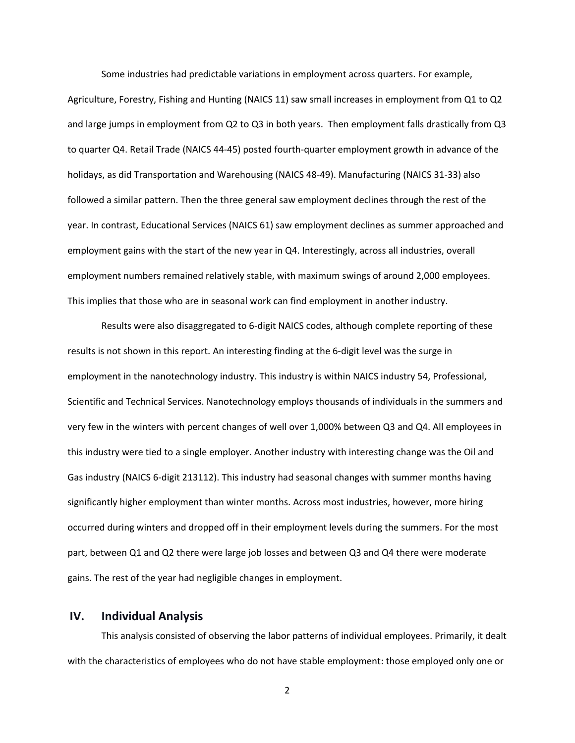Some industries had predictable variations in employment across quarters. For example,

Agriculture, Forestry, Fishing and Hunting (NAICS 11) saw small increases in employment from Q1 to Q2 and large jumps in employment from Q2 to Q3 in both years. Then employment falls drastically from Q3 to quarter Q4. Retail Trade (NAICS 44-45) posted fourth-quarter employment growth in advance of the holidays, as did Transportation and Warehousing (NAICS 48-49). Manufacturing (NAICS 31-33) also followed a similar pattern. Then the three general saw employment declines through the rest of the year. In contrast, Educational Services (NAICS 61) saw employment declines as summer approached and employment gains with the start of the new year in Q4. Interestingly, across all industries, overall employment numbers remained relatively stable, with maximum swings of around 2,000 employees. This implies that those who are in seasonal work can find employment in another industry.

Results were also disaggregated to 6-digit NAICS codes, although complete reporting of these results is not shown in this report. An interesting finding at the 6-digit level was the surge in employment in the nanotechnology industry. This industry is within NAICS industry 54, Professional, Scientific and Technical Services. Nanotechnology employs thousands of individuals in the summers and very few in the winters with percent changes of well over 1,000% between Q3 and Q4. All employees in this industry were tied to a single employer. Another industry with interesting change was the Oil and Gas industry (NAICS 6-digit 213112). This industry had seasonal changes with summer months having significantly higher employment than winter months. Across most industries, however, more hiring occurred during winters and dropped off in their employment levels during the summers. For the most part, between Q1 and Q2 there were large job losses and between Q3 and Q4 there were moderate gains. The rest of the year had negligible changes in employment.

#### <span id="page-3-0"></span>**IV. Individual Analysis**

This analysis consisted of observing the labor patterns of individual employees. Primarily, it dealt with the characteristics of employees who do not have stable employment: those employed only one or

2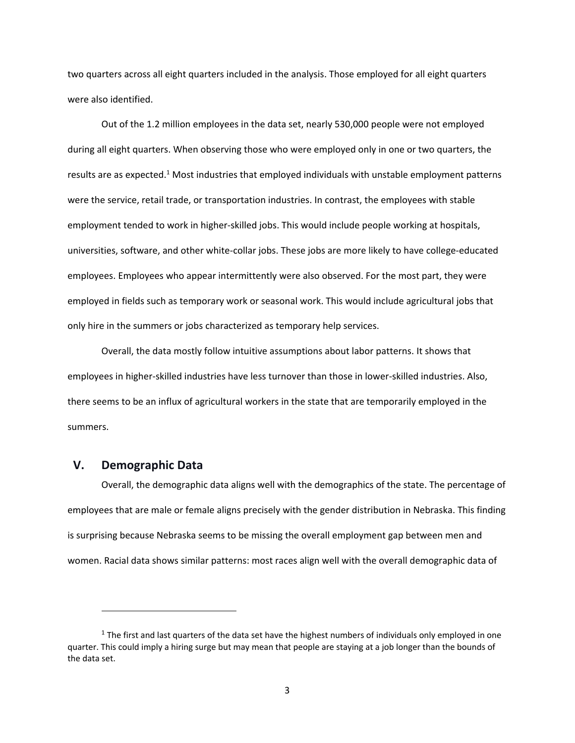two quarters across all eight quarters included in the analysis. Those employed for all eight quarters were also identified.

Out of the 1.2 million employees in the data set, nearly 530,000 people were not employed during all eight quarters. When observing those who were employed only in one or two quarters, the results are as expected.<sup>1</sup> Most industries that employed individuals with unstable employment patterns were the service, retail trade, or transportation industries. In contrast, the employees with stable employment tended to work in higher-skilled jobs. This would include people working at hospitals, universities, software, and other white-collar jobs. These jobs are more likely to have college-educated employees. Employees who appear intermittently were also observed. For the most part, they were employed in fields such as temporary work or seasonal work. This would include agricultural jobs that only hire in the summers or jobs characterized as temporary help services.

Overall, the data mostly follow intuitive assumptions about labor patterns. It shows that employees in higher-skilled industries have less turnover than those in lower-skilled industries. Also, there seems to be an influx of agricultural workers in the state that are temporarily employed in the summers.

## <span id="page-4-0"></span>**V. Demographic Data**

 $\overline{\phantom{a}}$ 

Overall, the demographic data aligns well with the demographics of the state. The percentage of employees that are male or female aligns precisely with the gender distribution in Nebraska. This finding is surprising because Nebraska seems to be missing the overall employment gap between men and women. Racial data shows similar patterns: most races align well with the overall demographic data of

 $<sup>1</sup>$  The first and last quarters of the data set have the highest numbers of individuals only employed in one</sup> quarter. This could imply a hiring surge but may mean that people are staying at a job longer than the bounds of the data set.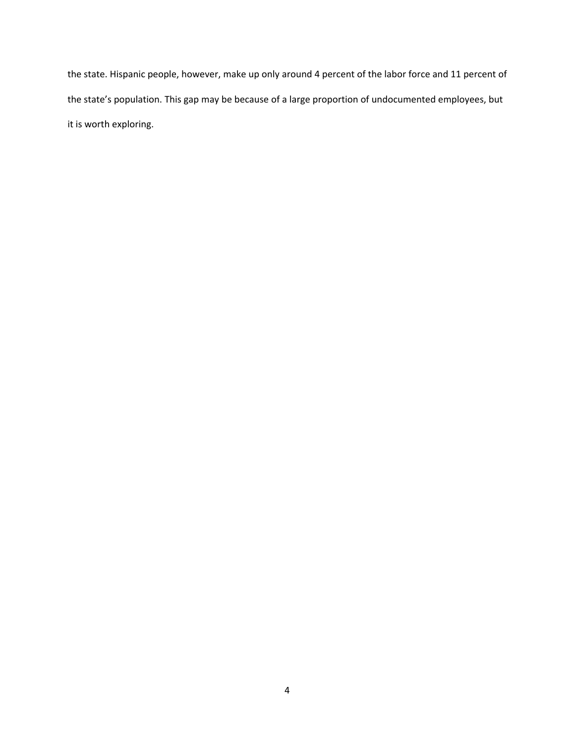the state. Hispanic people, however, make up only around 4 percent of the labor force and 11 percent of the state's population. This gap may be because of a large proportion of undocumented employees, but it is worth exploring.